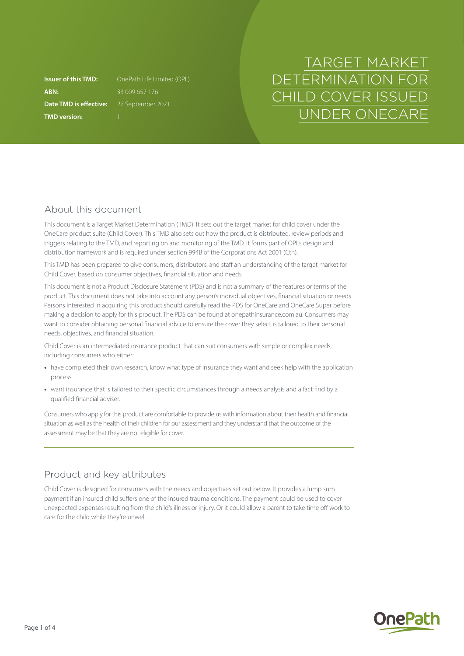**ABN:** 33 009 657 176 **Date TMD is effective:** 27 September 2021 **TMD version:** 1

**Issuer of this TMD:** OnePath Life Limited (OPL)

# TARGET MARKET DETERMINATION FOR CHILD COVER ISSUED UNDER ONECARE

## About this document

This document is a Target Market Determination (TMD). It sets out the target market for child cover under the OneCare product suite (Child Cover). This TMD also sets out how the product is distributed, review periods and triggers relating to the TMD, and reporting on and monitoring of the TMD. It forms part of OPL's design and distribution framework and is required under section 994B of the Corporations Act 2001 (Cth).

This TMD has been prepared to give consumers, distributors, and staff an understanding of the target market for Child Cover, based on consumer objectives, financial situation and needs.

This document is not a Product Disclosure Statement (PDS) and is not a summary of the features or terms of the product. This document does not take into account any person's individual objectives, financial situation or needs. Persons interested in acquiring this product should carefully read the PDS for OneCare and OneCare Super before making a decision to apply for this product. The PDS can be found at [onepathinsurance.com.au.](http://onepathinsurance.com.au) Consumers may want to consider obtaining personal financial advice to ensure the cover they select is tailored to their personal needs, objectives, and financial situation.

Child Cover is an intermediated insurance product that can suit consumers with simple or complex needs, including consumers who either:

- **•** have completed their own research, know what type of insurance they want and seek help with the application process
- **•** want insurance that is tailored to their specific circumstances through a needs analysis and a fact find by a qualified financial adviser.

Consumers who apply for this product are comfortable to provide us with information about their health and financial situation as well as the health of their children for our assessment and they understand that the outcome of the assessment may be that they are not eligible for cover.

# Product and key attributes

Child Cover is designed for consumers with the needs and objectives set out below. It provides a lump sum payment if an insured child suffers one of the insured trauma conditions. The payment could be used to cover unexpected expenses resulting from the child's illness or injury. Or it could allow a parent to take time off work to care for the child while they're unwell.

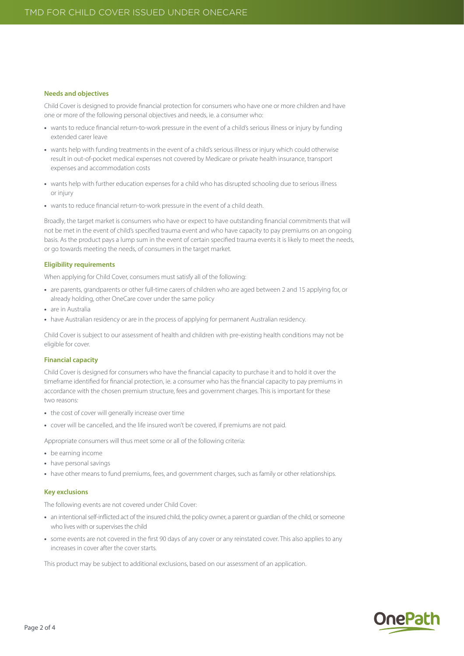#### **Needs and objectives**

Child Cover is designed to provide financial protection for consumers who have one or more children and have one or more of the following personal objectives and needs, ie. a consumer who:

- **•** wants to reduce financial return-to-work pressure in the event of a child's serious illness or injury by funding extended carer leave
- **•** wants help with funding treatments in the event of a child's serious illness or injury which could otherwise result in out-of-pocket medical expenses not covered by Medicare or private health insurance, transport expenses and accommodation costs
- **•** wants help with further education expenses for a child who has disrupted schooling due to serious illness or injury
- **•** wants to reduce financial return-to-work pressure in the event of a child death.

Broadly, the target market is consumers who have or expect to have outstanding financial commitments that will not be met in the event of child's specified trauma event and who have capacity to pay premiums on an ongoing basis. As the product pays a lump sum in the event of certain specified trauma events it is likely to meet the needs, or go towards meeting the needs, of consumers in the target market.

#### **Eligibility requirements**

When applying for Child Cover, consumers must satisfy all of the following:

- **•** are parents, grandparents or other full-time carers of children who are aged between 2 and 15 applying for, or already holding, other OneCare cover under the same policy
- **•** are in Australia
- have Australian residency or are in the process of applying for permanent Australian residency.

Child Cover is subject to our assessment of health and children with pre-existing health conditions may not be eligible for cover.

#### **Financial capacity**

Child Cover is designed for consumers who have the financial capacity to purchase it and to hold it over the timeframe identified for financial protection, ie. a consumer who has the financial capacity to pay premiums in accordance with the chosen premium structure, fees and government charges. This is important for these two reasons:

- **•** the cost of cover will generally increase over time
- **•** cover will be cancelled, and the life insured won't be covered, if premiums are not paid.

Appropriate consumers will thus meet some or all of the following criteria:

- **•** be earning income
- **•** have personal savings
- **•** have other means to fund premiums, fees, and government charges, such as family or other relationships.

#### **Key exclusions**

The following events are not covered under Child Cover:

- **•** an intentional self-inflicted act of the insured child, the policy owner, a parent or guardian of the child, or someone who lives with or supervises the child
- **•** some events are not covered in the first 90 days of any cover or any reinstated cover. This also applies to any increases in cover after the cover starts.

This product may be subject to additional exclusions, based on our assessment of an application.

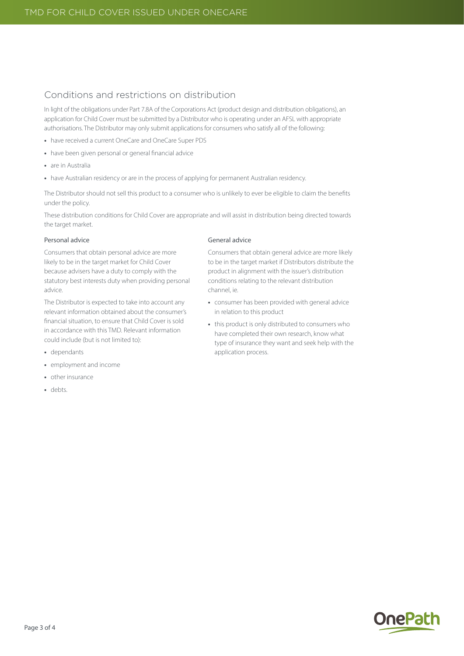## Conditions and restrictions on distribution

In light of the obligations under Part 7.8A of the Corporations Act (product design and distribution obligations), an application for Child Cover must be submitted by a Distributor who is operating under an AFSL with appropriate authorisations. The Distributor may only submit applications for consumers who satisfy all of the following:

- **•** have received a current OneCare and OneCare Super PDS
- **•** have been given personal or general financial advice
- **•** are in Australia
- have Australian residency or are in the process of applying for permanent Australian residency.

The Distributor should not sell this product to a consumer who is unlikely to ever be eligible to claim the benefits under the policy.

These distribution conditions for Child Cover are appropriate and will assist in distribution being directed towards the target market.

#### Personal advice

Consumers that obtain personal advice are more likely to be in the target market for Child Cover because advisers have a duty to comply with the statutory best interests duty when providing personal advice.

The Distributor is expected to take into account any relevant information obtained about the consumer's financial situation, to ensure that Child Cover is sold in accordance with this TMD. Relevant information could include (but is not limited to):

- **•** dependants
- **•** employment and income
- **•** other insurance
- **•** debts.

#### General advice

Consumers that obtain general advice are more likely to be in the target market if Distributors distribute the product in alignment with the issuer's distribution conditions relating to the relevant distribution channel, ie.

- **•** consumer has been provided with general advice in relation to this product
- **•** this product is only distributed to consumers who have completed their own research, know what type of insurance they want and seek help with the application process.